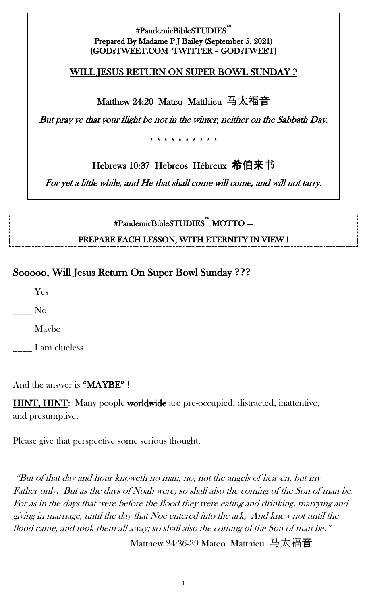#### #PandemicBibleSTUDIES™ i<br>L Prepared By Madame P J Bailey (September 5, 2021) [GODsTWEET.COM TWITTER – GODsTWEET]

#### WILL JESUS RETURN ON SUPER BOWL SUNDAY ?

Matthew 24:20 Mateo Matthieu 马太福音

But pray ye that your flight be not in the winter, neither on the Sabbath Day.

\* \* \* \* \* \* \* \* \* \*

Hebrews 10:37 Hebreos Hébreux 希伯来书

For yet a little while, and He that shall come will come, and will not tarry.

#PandemicBibleSTUDIES™ MOTTO –- PREPARE EACH LESSON, WITH ETERNITY IN VIEW !

# Sooooo, Will Jesus Return On Super Bowl Sunday **???**

\_\_\_\_ Yes

\_\_\_\_ No

\_\_\_\_ Maybe

I am clueless

And the answer is "MAYBE"!

**HINT, HINT:** Many people **worldwide** are pre-occupied, distracted, inattentive, and presumptive.

Please give that perspective some serious thought.

"But of that day and hour knoweth no man, no, not the angels of heaven, but my Father only. But as the days of Noah were, so shall also the coming of the Son of man be. For as in the days that were before the flood they were eating and drinking, marrying and giving in marriage, until the day that Noe entered into the ark, And knew not until the flood came, and took them all away; so shall also the coming of the Son of man be." Matthew 24:36-39 Mateo Matthieu 马太福音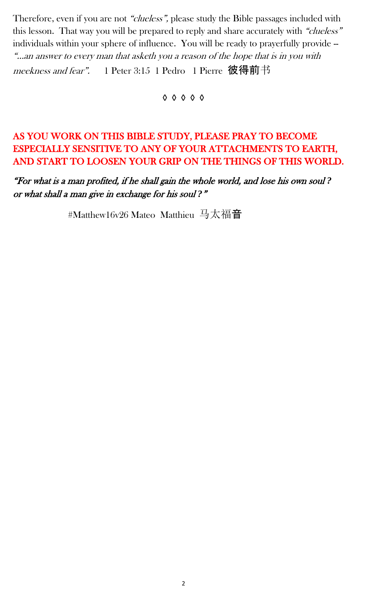Therefore, even if you are not "clueless", please study the Bible passages included with this lesson. That way you will be prepared to reply and share accurately with "clueless" individuals within your sphere of influence. You will be ready to prayerfully provide -- "…an answer to every man that asketh you a reason of the hope that is in you with meekness and fear". 1 Peter 3:15 1 Pedro 1 Pierre 彼得前书

◊ ◊ ◊ ◊ ◊

## AS YOU WORK ON THIS BIBLE STUDY, PLEASE PRAY TO BECOME ESPECIALLY SENSITIVE TO ANY OF YOUR ATTACHMENTS TO EARTH, AND START TO LOOSEN YOUR GRIP ON THE THINGS OF THIS WORLD.

"For what is a man profited, if he shall gain the whole world, and lose his own soul *?*  or what shall a man give in exchange for his soul *?*"

#Matthew16v26 Mateo Matthieu 马太福音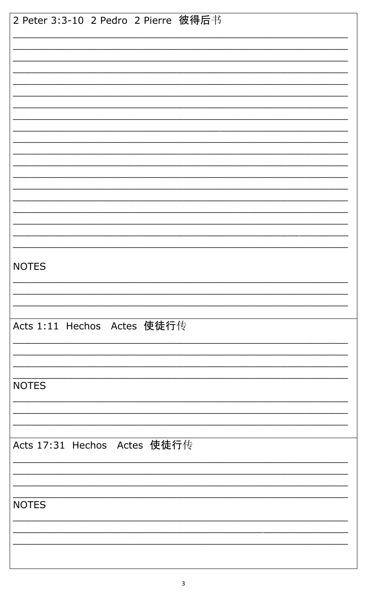| 2 Peter 3:3-10 2 Pedro 2 Pierre 彼得后书 |
|--------------------------------------|
|                                      |
|                                      |
|                                      |
|                                      |
|                                      |
|                                      |
|                                      |
|                                      |
|                                      |
|                                      |
|                                      |
|                                      |
|                                      |
|                                      |
|                                      |
|                                      |
|                                      |
| <b>NOTES</b>                         |
|                                      |
|                                      |
|                                      |
|                                      |
| Acts 1:11 Hechos Actes 使徒行传          |
|                                      |
|                                      |
|                                      |
| <b>NOTES</b>                         |
|                                      |
|                                      |
|                                      |
| Acts 17:31 Hechos Actes 使徒行传         |
|                                      |
|                                      |
|                                      |
|                                      |
| <b>NOTES</b>                         |
|                                      |
|                                      |
|                                      |
|                                      |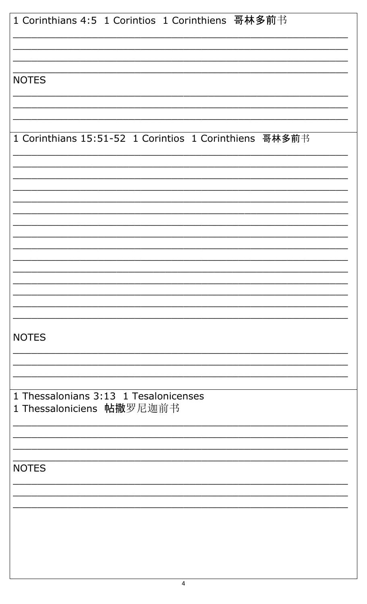| 1 Corinthians 4:5 1 Corintios 1 Corinthiens 哥林多前书      |
|--------------------------------------------------------|
|                                                        |
|                                                        |
|                                                        |
| <b>NOTES</b>                                           |
|                                                        |
|                                                        |
|                                                        |
| 1 Corinthians 15:51-52 1 Corintios 1 Corinthiens 哥林多前书 |
|                                                        |
|                                                        |
|                                                        |
|                                                        |
|                                                        |
|                                                        |
|                                                        |
|                                                        |
|                                                        |
|                                                        |
|                                                        |
| <b>NOTES</b>                                           |
|                                                        |
|                                                        |
|                                                        |
| 1 Thessalonians 3:13 1 Tesalonicenses                  |
| 1 Thessaloniciens 帖撒罗尼迦前书                              |
|                                                        |
|                                                        |
| <b>NOTES</b>                                           |
|                                                        |
|                                                        |
|                                                        |
|                                                        |
|                                                        |
|                                                        |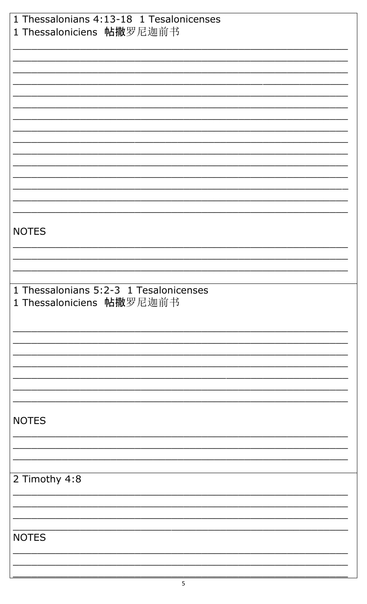| 1 Thessalonians 4:13-18 1 Tesalonicenses |
|------------------------------------------|
| 1 Thessaloniciens 帖撒罗尼迦前书                |
|                                          |
|                                          |
|                                          |
|                                          |
|                                          |
|                                          |
|                                          |
|                                          |
|                                          |
|                                          |
|                                          |
|                                          |
|                                          |
|                                          |
|                                          |
|                                          |
|                                          |
|                                          |
|                                          |
| <b>NOTES</b>                             |
|                                          |
|                                          |
|                                          |
|                                          |
|                                          |
|                                          |
| 1 Thessalonians 5:2-3 1 Tesalonicenses   |
| 1 Thessaloniciens 帖撒罗尼迦前书                |
|                                          |
|                                          |
|                                          |
|                                          |
|                                          |
|                                          |
|                                          |
|                                          |
|                                          |
|                                          |
|                                          |
| <b>NOTES</b>                             |
|                                          |
|                                          |
|                                          |
|                                          |
|                                          |
| 2 Timothy 4:8                            |
|                                          |
|                                          |
|                                          |
|                                          |
| <b>NOTES</b>                             |
|                                          |
|                                          |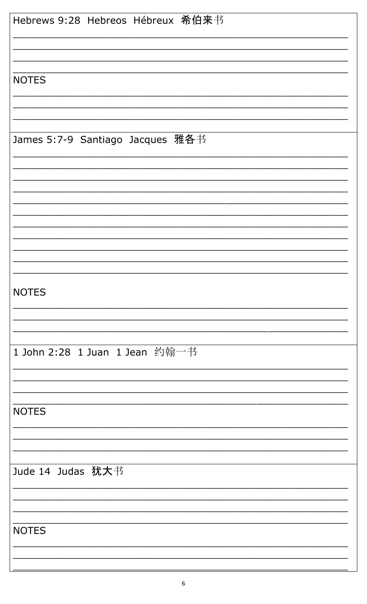| Hebrews 9:28 Hebreos Hébreux 希伯来书 |
|-----------------------------------|
|                                   |
|                                   |
|                                   |
| <b>NOTES</b>                      |
|                                   |
|                                   |
|                                   |
| James 5:7-9 Santiago Jacques 雅各书  |
|                                   |
|                                   |
|                                   |
|                                   |
|                                   |
|                                   |
|                                   |
|                                   |
|                                   |
| <b>NOTES</b>                      |
|                                   |
|                                   |
|                                   |
| 1 John 2:28 1 Juan 1 Jean 约翰一书    |
|                                   |
|                                   |
|                                   |
| <b>NOTES</b>                      |
|                                   |
|                                   |
|                                   |
| Jude 14 Judas 犹大书                 |
|                                   |
|                                   |
|                                   |
| <b>NOTES</b>                      |
|                                   |
|                                   |
|                                   |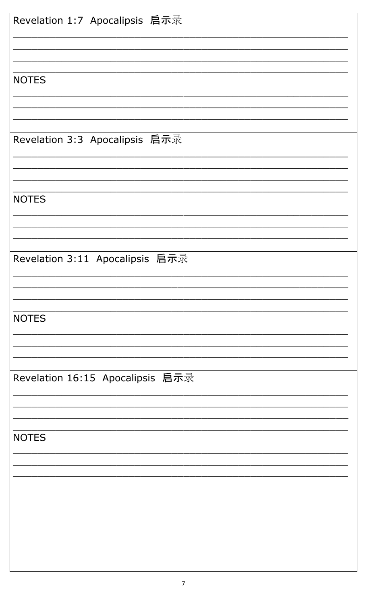| Revelation 1:7 Apocalipsis 启示录   |
|----------------------------------|
| <b>NOTES</b>                     |
|                                  |
| Revelation 3:3 Apocalipsis 启示录   |
| <b>NOTES</b>                     |
| Revelation 3:11 Apocalipsis 启示录  |
|                                  |
| <b>NOTES</b>                     |
| Revelation 16:15 Apocalipsis 启示录 |
| <b>NOTES</b>                     |
|                                  |
|                                  |
|                                  |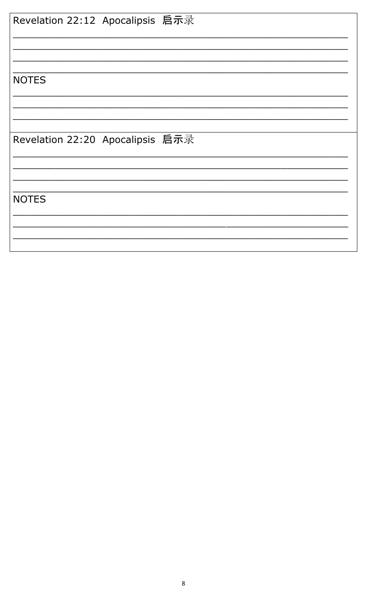| Revelation 22:12 Apocalipsis 启示录 |  |
|----------------------------------|--|
|                                  |  |
|                                  |  |
| <b>NOTES</b>                     |  |
|                                  |  |
| Revelation 22:20 Apocalipsis 启示录 |  |
|                                  |  |
|                                  |  |
|                                  |  |
|                                  |  |
| <b>NOTES</b>                     |  |
|                                  |  |